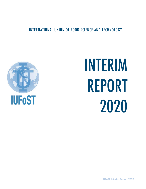INTERNATIONAL UNION OF FOOD SCIENCE AND TECHNOLOGY



# INTERIM REPORT 2020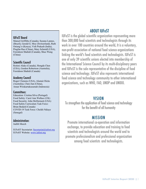# IUFoST Board

Mansel Griffiths (Canada), Suzana Lannes, (Brazil), Gerald G. Moy (Switzerland), Ruth Oniang'o (Kenya), Vish Prakash (India), Pingfan Rao (China), Mary Schmidl (USA), Fereidoon Shahidi (Canada), Shuo Wang (China)

## Scientific Council

Rotimi Aluko (Canada), Hongda Chen (USA), Gordon Robertson (Australia), Fereidoon Shahidi (Canada)

## Academy Council

Roger Clemens (USA), Alastair Hicks (Australia), Chen Jian (China), Aman Wirakartakusumah (Indonesia)

## Committees:

Education: Cristina Silva (Portugal) Food Safety: Carol Ann Wallace (UK) Food Security: John McDermott (USA) Food Safety Curriculum Task Force: Brian Bedard (Canada) COVID-19 Task Force: Cheikh Ndiaye (Senegal)

# Administration:

Judith Meech

IUFoST Secretariat: Secretariat@iufost.org IUFoST Website: www.iufost.org

# ABOUT IUFoST

IUFoST is the global scientific organization representing more than 300,000 food scientists and technologists through its work in over 100 countries around the world. It is a voluntary, non-profit association of national food science organizations linking the world's food scientists and technologists. IUFoST is one of only 39 scientific unions elected into membership of the International Science Council by its multi-disciplinary peers and IUFoST is the sole representative of the discipline of food science and technology. IUFoST also represents international food science and technology community to other international organizations, such as WHO, FAO, UNDP and UNIDO.

# VISION

To strengthen the application of food science and technology for the benefit of all humanity

# MISSION

Promote international co-operation and information exchange, to provide education and training to food scientists and technologists around the world and to promote professionalism and professional organization among food scientists and technologists.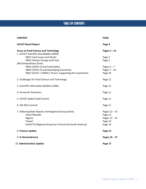# TABLE OF CONTENTS

| <b>CONTENT</b>                                                                         |                                                                                                                                      | <b>PAGE</b>                                                     |
|----------------------------------------------------------------------------------------|--------------------------------------------------------------------------------------------------------------------------------------|-----------------------------------------------------------------|
| <b>IUFoST Board Report</b>                                                             |                                                                                                                                      | Page 4                                                          |
| <b>Focus on Food Science and Technology</b><br>1. IUFoST Scientific Roundtables (SRDS) |                                                                                                                                      | Pages $5 - 14$                                                  |
| SRD1 Food Losses and Waste<br><b>SRD Extraordinary Series</b>                          | SRD2 Climate Change and Food                                                                                                         | Page 5<br>Page 5                                                |
|                                                                                        | SRD3 COVID-19 and Food Safety<br>SRD4 COVID-19 and Developing Economies<br>SRD5 IUFoST / UNIDO / Parera - Supporting the Food Sector | Pages $5 - 7$<br>Pages $7 - 10$<br>Page 10                      |
| 2. Challenges for Food Science and Technology                                          |                                                                                                                                      | Page 11                                                         |
| 3. Scientific Information Bulletins (SIBs)                                             |                                                                                                                                      | Page 11                                                         |
| 4. Survey for Educators                                                                |                                                                                                                                      | Page 11                                                         |
| 5. IUFoST Global Food Summit                                                           |                                                                                                                                      | Page 11                                                         |
| 6. UN 2021 Summit                                                                      |                                                                                                                                      | Page 11                                                         |
| Czech Republic<br>Nigeria<br>Taiwan                                                    | 7. Adhering Body Reports and Regional Group activity<br>ALACCTA (Regional Group for Central and South America)                       | Pages 12 - 14<br>Page 12<br>Pages 12 - 14<br>Page 14<br>Page 14 |
| 8. Finance Update                                                                      |                                                                                                                                      | Page 15                                                         |
| 9. In Remembrance                                                                      |                                                                                                                                      | Pages $16 - 17$                                                 |
| 10. Administrative Update                                                              |                                                                                                                                      | Page 17                                                         |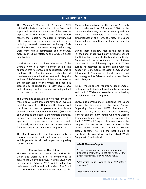# IUFoST BOARD REPORT

The Members' Meeting of 31 January 2020 ratified the decisions and actions of the Board and supported the aims and objectives of the Union as expressed at the meeting. This Board Report follows the Report to Members in January but other aspects cover a longer period of time, including several welcomed Adhering Body Activity Reports, some news on Regional activity, work from IUFoST committees and of course, activities of IUFoST related to the COVID-19 global health crisis.

Good Governance has been the focus of the Board's work in a rather difficult period. The approach that has proved to be successful was to reinforce the Board's culture whereby all members are treated with respect and collegiality and mindful of the exercise of their duties to serve the greater good of the Union. The Board is pleased also to report that already several new and returning country members are being added to the roster of the Union.

The Board has continued to hold monthly Board meetings. All Board Directors have been involved in all the work of the Union and this has allowed the Board to practice governance that is not divided between operational branches (Executive and Board) as the Board is the ultimate authority in any case. This more democratic and effective approach to governance has served well, particularly as the Executive Director was made a full-time position by the Board in August 2019.

The Board wishes to take this opportunity to thank everyone for their dedication and service and is grateful for all their expertise in guiding IUFoST forward.

#### **Committees of the Union**

The Board of Directors manages the work of the Union and works with all its committees to achieve the Union's objectives. New By-Laws were introduced in October 2018, which had a few unforeseen conflicts and deficiencies. The Board has promised to relay recommendations to the Membership in advance of the General Assembly that is scheduled for 20 August 2020. In the meantime, there may be one or two proposals put before the Members to facilitate the circumstances of this Term of Office. The Board thanks all its committees, past and present for their work.

During these past few months the Board has initiated and/or approved many actions to benefit the Union, both administratively and scientifically. Members will see an outline of some of these measures in the following pages. IUFoST has turned its attention to science again with the support of its members, the Scientific Council, the International Academy of Food Science and Technology and its Fellows as well as other friends and colleagues.

IUFoST meetings and reports to its members, colleagues and friends will continue between now and the IUFoST General Assembly - to be held by virtual means - on 20 August 2020.

Lastly, but perhaps most important, the Board thanks the Members of the New Zealand Organising Committee, NIFST President Dr. Richard Archer, Executive Director Rosemary Hancock and the many others who have worked tremendously hard and effectively in preparing for the IUFoST World Congress. As you are aware, the Congress had to be postponed because of the current global health crisis. We will be working closely together to find the best timing to reinstitute the countdown to the IUFoST World Congress in New Zealand.

#### *IUFoST Members' Inputs:*

*"Ensure an adequate supply of appropriately prepared personnel to meet the needs of the global food supply in the coming years."*

*"Strengthen food science and technology research."*

*"Engage with Policy Makers"*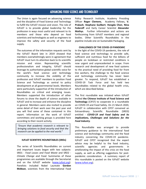# ADVANCING FOOD SCIENCE AND TECHNOLOGY

The Union is again focused on advancing science and the discipline of Food Science and Technology to fulfill the IUFoST mission and vision. The role of IUFoST is to provide global leadership for the profession in ways most useful and relevant to its members and those who depend on food scientists and technologists as well as engineers to improve the safety and security of the food supply.

The outcomes of the information requests sent by the IUFoST Board late in 2019 showed that members overwhelmingly were in agreement that IUFoST must turn its attention back to its scientific mission and vision. Representing scientific professionalism and integrity, IUFoST should leverage its authoritative global scientific voice for the world's food science and technology community to increase the visibility of the profession and IUFoST members to position Food Science and Technology as central to policy development at all governmental levels. Members were particularly supportive of the introduction of Roundtables on critical and emerging issues. Members supported the introduction of other forums to show the depth of science available in IUFoST and to increase and enhance the discipline in general. Members were also invited to provide some detail of their work over the past year and you will find some of these contained in this report. Information on the work of IUFoST committees and working groups is provided here according to their recent activity.

*"Ensure that academic research is relevant to bringing solutions to food security and that the research can be applied to the real world."*

#### **IUFoST SCIENTIFIC ROUNDTABLES (SRDs)**

The series of Scientific Roundtables on current and important issues began with two subjects: SRD1 - *Food Losses and Food Waste* and SRD2 - *Climate Change and Food*. Summaries of these programmes are available through the Secretariat and on the IUFoST website (www.iufost.org). Panelists included Nobel Laureate **Gordon McBean**, scientists from the International Food

Policy Research Institute, Academy Presiding Officer **Roger Clemens**, Academy Fellows, **V. Prakash**, **Stephane Guilbert**, **Hongda Chen**, **Nina Federoff** and Early Career Scientist **Alexander Mathys**. Further information and actions are forthcoming from IUFoST members and regional bodies. Other Scientific Roundtables in the pipeline include one on Sustainable Packaging.

#### **CHALLENGES OF THE COVID-19 PANDEMIC**

In the light of the COVID-19 pandemic, the role of food science and technology to provide safe, sufficient and nutritious food for the billions of people on lockdown or restricted conditions is now urgent and unprecedented in scope. From research and development of new food systems to the practical need of providing food for front line workers, the challenge to the food science and technology community has never been greater. To respond, IUFoST has established a COVID-19 Task Force and has held two Roundtables related to the global health crisis, which are described below.

The first roundtable was initiated when IUFoST invited **the Chinese Institute of Food Science and Technology** (CIFST) to cooperate in a roundtable on COVID-19 and Food Safety. On 21 March 2020, IUFoST in collaboration with CIFST convened an Extraordinary Scientific Roundtable (SRD3) entitled - *COVID-19 and Food Safety and its implications, Challenges and Solutions for the Food Industry*.

This Roundtable was arranged to provide preliminary guidance to the international food science and technology community and the food industry concerning the COVID-19 pandemic. IUFoST and CIFST recognized that the expert advice may be helpful to the food industry, scientific agencies and governments in ameliorating the impact of this crisis on the food supply, as well as offering suggestions for postpandemic consideration. A summary report of this roundtable is posted on the IUFoST website (www.iufost.org).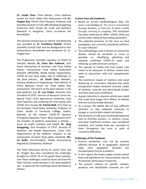**Dr. Junshi Chen**, Chief Adviser, China National Center for Food Safety Risk Assessment and **Dr. Pingfan Rao**, IUFoST Past President, Professor and founding Director of CAS.SIBS-Zhejiang Gongshang University Joint Center for Food and Nutrition Research in Hangzhou, China co-chaired the Roundtable.

The General Introduction on IUFoST and Welcome was provided by **Dr. Fereidoon Shahidi**, IUFoST Scientific Council Chair and the Background to this Extraordinary Roundtable was presented by Dr. Pingfan Rao.

The Programme: *Scientific cognition of COVID-19 zoonotic disease*, **Dr. Peter Ben Embarek**, Unit Head, Monitoring of Nutrition and Food Safety Events, International Food Safety Authorities Network (INFOSAN), World Health Organization; *COVID-19 and Food safety and its challenges to the food industry*; **Dr. Junshi Chen**, Member, Chinese Academy of Engineering; Chief Advisor of China National Center for Food Safety Risk Assessment; *The future of the food industry in the post-epidemic era*, **Dr. Luo Yunbo**, Honorary Vice President of CIFST; Director of Research Centre for Special Food, China Agricultural University; *How food industries are preparing for and coping with COVID-19 in Europe,* **Dr. Patrick Wall**, First Chair of the European Food Safety Authority; Professor of Public Health at University College, Dublin; Member of the Ireland COVID-19 National Emergency Response Team; *Work experience from the frontline of epidemic prevention in Wuhan – focus on public nutrition and health*, **Dr. Ding Gangqiang**, Vice President of CIFST; Director of Nutrition and Health Department, China CDC; *Requirements of the epidemic situation to the construction of online food safety standards*, **Ms. Liz Duffy**, Vice-President, Global Omnichannel Regulatory Compliance, Walmart.

The Panel Discussion led by Dr. Junshi Chen and Dr. Pingfan Rao then considered the challenges brought by COVID 19 to the global food industry, how these challenges could be faced and how the food industry could develop in the post-epidemic era. In particular the challenges were identified as follows:

#### **Lessons from the Pandemic:**

- Based on current epidemiological data, the virus is not foodborne. The virus is transmitted through droplets, or little bits of liquid, mostly through sneezing or coughing. This conclusion has been endorsed by WHO, USFDA, EFSA and several other national food safety authorities.
- The potential presence of the virus on food packaging is not currently considered sufficient to cause infection.
- The methodology used in Wuhan to control the disease should be emulated as much as possible, i.e., identifying, admitting and isolating confirmed COVID-19 cases and following up with all known contacts.
- The capacity to isolate and treat severe case needs to be adequate. In Wuhan, hotels were used to quarantine mild and asymptomatic cases.
- The nutritional impact of isolation and social distancing on consumers indicated that while energy-level intakes remained constant, intake of vitamins, minerals and plant-based protein and fatty acids were insufficient.
- A great reduction in physical activity was noted and could have longer-term effects on obesity and non-communicable diseases.
- As a group, the elderly did not pay sufficient attention or take adequate measures to change or control diet-related risk factors.
- The provision of safe and nutritionally balanced food to frontline workers, i.e. doctors, nurses and other healthcare workers, was considered essential, and cooked food was provided to them throughout the crisis in spite of numerous difficulties.

#### **Challenges of the Pandemic:**

- Primary production may not be severely affected because of its geographic dispersal away from population densities but transportation may be a problem.
- In this regard, the timely supply of both animal feed and ingredients for food products may be threatened, particularly if imported.
- The present reliance on specific markets, products and distribution channels are not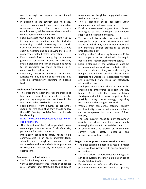robust enough to respond to anticipated disruptions.

- In addition to the tourism and hospitality sectors, commercial catering, including restaurants and other food service establishments, will be severely disrupted with serious human and economic costs.
- Food businesses must keep their staff healthy if they are to function and this includes maximizing social distancing at work. Consumer behavior will distort the food supply chain by hoarding and panic buying that are, in many cases, fueled by false information
- E-commerce in food is undergoing tremendous growth as consumers respond to lockdowns, social distancing and fear of crowds but needs to be regulated by those engaged in ecommerce for food safety.
- Emergency measures imposed in various jurisdictions may not be consistent and may even be contradictory, resulting in blocked trade.

#### **Implications for food safety:**

- This crisis shows again the real importance of food safety – good hygiene practices must be practiced by everyone, not just those in the food industry but also by the consumer.
- Food handlers, from industry to consumer, should be reminded that they should follow the WHO Five Keys to Safer Food, particularly handwashing. https://www.who.int/foodsafety/areas\_work/f

ood-hygiene/en/

• The disruption of the food supply chain poses new and perhaps unexpected food safety risks, particularly for perishable foods.

Information about food safety needs to be communicated in an easily understandable, scientific and thoughtful manner to all stakeholders in the food chain, from producers to consumers, particularly in uncertain and chaotic times.

#### **Response of the food industry:**

• The food industry needs to urgently respond to various disruptions to ensure that an adequate safe, sufficient and affordable food supply is maintained for the global supply chains down to the local community.

- This is especially critical for large urban populations in developing countries.
- Food businesses need be given the tools and training to be able to support diverse food supply and distribution of chains.
- The food industry needs to respond to rapid changes in the products that consumers need and want, which may require modifications in raw materials and/or processing to ensure product availability.
- Staffing in the food industry is essential if the food supply is to be maintained. Staying in operation will require staff to stay healthy.
- Social distancing in the workplace must be accommodated, especially on the factory floor. In some production lines, social distancing is not possible and the spread of the virus can decimate the workforce. Segregated workers and designated work zones can effectively address this issue.
- Employees who contract the virus need to be enabled and empowered to report and stay home. As a result, there may be labour shortages and solutions must be put in place, possibly through e-technology, regarding recruitment and training of new staff.
- Workers from commercial catering, tourism and hospitality industries with food experience can be redeployed into other parts of food industry.
- The food industry needs to allay consumers' anxiety by clear, scientific, user-friendly messaging that do not contain false claims.
- A priority must be placed on maintaining current food safety measures and preparedness for food recalls.

#### **Suggestions for post-pandemic consideration:**

- The post-pandemic phase may result in major reviews of food systems, with special emphasis on resilience.
- This also affords opportunities for changes in agri-food systems that may make better use of locally produced foods.
- Development of safe and effective foods to promote immune function should be a priority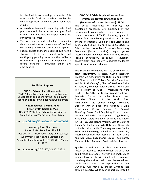for the food industry and governments. This may include foods for medical use by the elderly population as well as other vulnerable groups.

- A paradigm frameshift regarding safe food practices should be promoted and good food safety habits that were developed during the pandemic reinforced.
- The food science and technology community should contribute to the recovery of the food sector along with other sectors and disciplines.
- Food scientists and technologists should have a stronger role in government policy and contingency planning to ensure the resilience of the food supply chain in responding to future pandemics, including other civil emergencies.

#### **Published Reports**

#### **SRD 3 – Extraordinary Roundtable**

COVID-19 and Food Safety and its Implications, Challenges and Solutions for the Food Industry reports published in two peer-reviewed journals.

**Nature Journal** *Science of Food* Report by **Dr. Gerald G. Moy** IUFoST/CIFST hold an Extraordinary Scientific Roundtable on COVID-19 and Food Safety.

**DOI**: https://doi.org/10.1038/s41538-020-0068-2

#### *Journal of Food Bioactives* Report by **Dr. Fereidoon Shahidi**

Does COVID-19 Affect Food Safety and Security? A Summary Report on the Extraordinary Scientific Roundtable of IUFoST-CIFST on March 21, 2020

**DOI**: https://doi.org/10.31665/JFB.2020.9212

#### **COVID-19 Crisis: Implications for Food Systems in Developing Economies (Focus on Africa and Lebanon) -SRD4**

The critical importance of ensuring that developing economies are supported by the international community as they prepare to contain the spread of COVID-19 was highlighted in a Scientific Roundtable organized and coordinated by the International Union of Food Science and Technology (IUFoST) on April 17, 2020. COVID-19 Crisis: Implications for Food Systems in Developing Economies (Focus on Africa) brought together internationally renowned experts in food science looking at nutrition, agriculture, regulation, epidemiology, and industry to address challenges specific to Africa and Lebanon.

The Scientific Roundtable was co-chaired by **Dr. John McDermott**, Director, CGIAR Research Program on Agriculture for Nutrition and Health and Chair of the IUFoST Food Security Committee, and **Dr. Ruth Oniang'o**, Chair of Sasakawa Africa Association, Founder Rural Outreach Africa and Past President of IAFoST. Presentations were made by **Dr. Catherine Bertini,** World Food Prize Laureate, Former UN Under Secretary and Executive Director of the World Food Programme; **Dr. Cheikh Ndiaye**, Executive Director, African Food and Agriculture Skills Development Centre, Senegal; **Dr. Samuel Godefroy**, Senior Food Regulatory Expert, United Nations Industrial Development Organization, Arab Food Safety Initiative for Trade Facilitation (SAFE); **Dr. Lara Hanna Wakim**, Vice Director of Higher Center for Research, Holy Spirit University of Kaslik, Lebanon; **Dr. Theo Knight-Jones**, Senior Scientist Epidemiology, Animal and Human Health, International Livestock Research Institute (ILRI); and **Ms. Silnia Badenhorst**, Group Food Safety Manager (SME) Massmart/Walmart, South Africa.

Speakers raised warnings about the potential impact of measures taken to contain the virus that could result in a food crisis with dire implications beyond those of the virus itself unless solutions matching the African reality are developed and implemented now. The expectation is that COVID-19 will move 80 million Africans into extreme poverty. While each expert presented a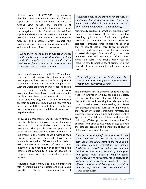different aspect of COVID-19, key concerns identified were the critical need for financial support for African government measures in fighting virus spread; the importance of communication of factual information; ensuring the integrity of both informal and formal food supply and distribution; and accurate definition of essential goods and services to include all activities and processes which support the production, processing, distribution, consumption, and waste disposal of food in the system.

*"While there will be some challenges in global food supply chains, most disruptions in food production, supply chains, markets and services will come from domestic circumstances and livelihood shocks." (John McDermott)*

Ruth Oniang'o compared the COVID-19 pandemic to a conflict, with major disruptions in people's lives impacting food production for a majority of smallholder farmers and the food supply chain. With the world predicting the worst for Africa's 54 sovereign states, countries with very weak economies have been forced to get ready, despite the fact that these governments do not have social safety net programs to cushion the impact on their populations. They have no reserves and have coped with their periodic food crises through donors who now have to mobilize all resources to help themselves.

Following on this theme, Cheikh Ndiaye stressed that the strategy of everyone solving their own problems is unsustainable and counterproductive. The globally accepted practice of closing down cities and businesses is difficult to implement in the African context without food shortages, price increases and starvation in vulnerable populations. Efforts should be made to assist workers in all sectors of food systems impacted in the hope that with support from the international community it may be possible to mitigate some of the foreseeable negative impacts.

Regulators must continue to play an important role in limiting supply disruption and maintaining operations through communication of

*"Guidance needs to be provided for practices of sanitation, but also how to protect workers' health and conditions in order to make sure that they continue to operate." (Sam Godefroy)*

scientifically credible information, especially with regard to transmission of the virus; including providing guidance to food and agri-food producers in sanitation and worker protection standards, amongst other things; and ensuring that no new threats or hazards are introduced, including food fraud and prevention of dumping to avoid shortages. Sam Godefroy noted that guidance must be adapted to African food production sector and supply chain realities, including how to practice social distancing in the context of farmers markets and small farmer production.

*"From villages to nations, leaders must be nimble and must quickly fix disruptions in the food chains." (Catherine Bertini)*

The inevitable rise in demand for food and the need for innovation on how food can be safely sold and distributed rules for acceptable sales and distribution to avoid wasting food also was a key issue. Catherine Bertini advocated against kneejerk political decisions, such as closing borders, that negatively impact consumers, farmers, and processors and strongly supported finding creative approaches for delivery of food and food aid including sufficient production of special food for children from birth to two years of age to avoid the potential creation of a generation of stunted children during a food shortage.

*"Continuous tracking of operations within the value chain will be necessary. A disruption of activities at any single point in the value chain will have knock-on implications for others. Furthermore, problems with cross-cutting services, such as transportation of employees and goods, could impact at multiple nodes simultaneously. In this regard, the importance of logistical services within the chain, to ensure efficient movement of both products, services and labour, cannot be overemphasised." (Silnia Badenhurst)*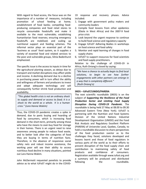With regard to food access, the focus was on the importance of a number of measures, including promotion of school feeding at home; establishment of food banks; compelling foodproducing companies and food retail stores to recycle consumable foodstuffs and make it available to the most vulnerable; establishing humanitarian food reserves; ensuring emergency foodstuffs are mobilised; and scaling up nutritional support and feeding schemes. The informal sector plays an essential part of the 'business as usual' food system, as it supplies a variety of essential food and related services to the poor and vulnerable groups, Silnia Badenhurst emphasized.

The specific issue is the access to inputs in time for the agricultural planting season, as delays due to transport and market disruptions may affect yields and income. A declining demand due to a decline in purchasing power will in turn affect the ability and willingness of farmers and producers to invest and adopt adequate technology and will consequently further shrink food production and availability.

*"This global health crisis is not an ordinary shock to supply and demand or access to food; it is a shock to the world as a whole. It is a human crisis." (Lara Hanna Wakim)*

Thus, the COVID-19 pandemic creates a spike in demand, due to panic buying and hoarding of food by consumers, which is increasing food demand in the short-term, primarily among those who have the means to over-buy food for storage in their homes. There is an urgent need to raise awareness among people to reduce food waste, and to better look after the categories of food they are buying in terms of nutrition facts. Therefore, in the absence of responsive social safety nets and robust income assistance, the working poor will see their ability to access nutritious food decline in many situations, pointed out Lara Hanna-Wakim.

John McDermott requested panelists to provide advice as to what IUFoST might do in the COVID-

19 response and recovery phases. Advice included:

- 1. Engage with government policy makers and community leaders
- 2. Compile food lessons from other epidemics (Ebola in West Africa) and the 2007-9 food price crisis
- 3. Look beyond the urgent response to continue to build food science and regulatory capacity
- 4. Engage IUFoST Adhering Bodies in workshops on food science and food safety
- 5. Monitor and rapid learning of changes in food supply chains
- 6. IUFoST to support resources for food scientists and food supply practitioners.

Relative to the challenge of COVID-19 in Africa, Ruth Oniang'o closed by saying:

*"We have a chance to actually begin to find local solutions, to begin to see how further engagements with other partners can emerge in a way that is completely different." (Ruth Oniang'o)*

#### **SRD5 – IUFoST/UNIDO/PARERA**

The next scientific roundtable (SRD5) is on the subject of *Supporting the Resilience of the Food Production Sector and Limiting Food Supply Disruption During COVID-19 Pandemic*. The roundtable is being held 27 May at 08.00 to 09.30 Advanced Eastern Time (New York). IUFoST is partnering with the Nutrition and Food Systems Division of the United Nations Industrial Development Organisation (UNIDO) and the Food Risk Analysis and Regulatory Excellent Platform (PARERA) of Universite Laval, Quebec, Canada, to hold a roundtable discussion to share perspectives of the food production ssector as to the challenges they faced, solutions developed and lessons learnt and those of food regulators in various parts of the world as to their efforts to prevent disruption of the food supply chain and contribution to maintaining safety of food products and confidence of consumers. Registration available through www.iufost.org and a summary will be produced and distributed following the roundtable.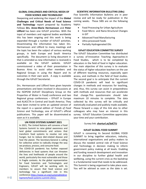#### **GLOBAL CHALLENGES AND CRITICAL NEEDS OF FOOD SCIENCE AND TECHNOLOGY**

Deepening and widening the impact of the **Global Challenges and Critical Needs of Food Science and Technology** report prepared by Academy Fellows **Drs. Anne-Marie Hermansson** and **Peter Lillford** has been one IUFoST priorities. With the input of members and regional bodies worldwide this has been ongoing and this work is being expanded through a number of IUFoST activities. Disseminating the information has taken Drs. Hermansson and Lillford to many meetings and the topic has been the subject of various working groups, in both Europe and South America specifically. The document (a living document in that is amended as new information is received) is available on the IUFoST website. IUFoST commissioned a video of their presentation in Buenos Aires to assist other members and Regional Groups in using the Report and its outcomes in their own work. A copy is available through the IUFoST Secretariat.

Drs. Hermansson and Lillford have given keynote presentations and been involved in discussions at the ISOPOW (IUFoST Disciplinary Group on the Properties of Water in Food) conference and two Regional group conferences – EFFoST in Europe and ALACCTA in Central and South America. They have been invited to write an updated version of the report in a special edition of *Trends of Food Science and Technology*, one of IUFoST's official publications. This paper will be disseminated as soon as it is available.

#### **UN FOOD SYSTEMS SUMMIT 2021**

In 2021, The United Nations will convene a Food Systems Summit to raise global awareness and land global commitments and actions that transform food systems to resolve not only hunger, but to reduce diet-related disease and heal the planet. The Secretary-General is calling for collective action to radically change the way we produce, process, and consume food.

The COVID-19 pandemic has further exposed deficiencies in food systems that can threaten the lives and livelihoods of people around the world, particularly the most vulnerable and those in fragile contexts. As the global representative for Food Scientists and Technologists and Engineers, IUFoST will be working with its members to assure that food science and technology has a significant role in this conference.https://www.un.org/sustainabledeve lopment/food-systems-summit-2021/.

#### **SCIENTIFIC INFORMATION BULLETINS (SIBs)**

Five Scientific Information Bulletins are in peer review and will be ready for publication in the coming weeks. These SIBS are on the following topics:

- Food Processing for Urban Agriculture
- Food Micro- and Nano-Structural Changes in GIT
- Advanced Food Manufacturing
- Ultra-processed Foods
- Partially Hydrogenated Oils

#### **IUFoST EDUCATION COMMITTEE SURVEY**

The IUFoST Education Committee has distributed a survey of Innovative Teaching Approaches in Food Studies, which is to be completed by educators in the field of food in higher education. The main objective of this survey is to evaluate the status of higher education teachers on the use of different teaching resources, especially open access, and methods in the field of food studies. The second goal is to anticipate that the current COVID-19 pandemic will lead to significant changes in methods and resources for teaching, and, thus, this survey can assist in preparedness with methods and resources that can accelerate that change.This questionnaire should take maximum 10 minutes to complete. The data collected by this survey will be critically and statistically evaluated and publicly made available. Please forward a copy of this link also to other colleagues who may have an interest in this survey. IUFoST Education Committee appreciates your time and your contribution.

#### Survey link: **shorturl.at/bdCTU**

#### **IUFoST GLOBAL FOOD SUMMIT**

IUFoST is convening its Second GLOBAL FOOD SUMMIT to bring together educators, industry, international organisations and policy makers to discuss the needed central role of Food Science and Technology in decision making to inform government policy making at all levels. Enabling and funding research development and innovation in our discipline to further global health and wellbeing, using the current crisis as the backdrop is a fundamental need that needs to be addressed. This Summit is being organised to take place soon. You will be advised as soon as the date is set.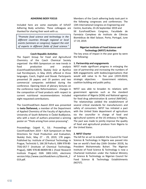#### **ADHERING BODY FOCUS**

Included here are some examples of IUFoST Adhering Body activities. These colleagues are thanked for sharing their work with us.

*"Promote food science and technology in the different countries through regional or local events (seminars or congress); Support the visit of experts in different fields of food science."*

## **Czech Republic Activities** *of adhering bodies to give conferences that and technology and nutrition to the countries*

The Expert Group for Food and Agricultural *help to dispel myths and misleading*  Chemistry of the Czech Chemical Society *information about foods."* organized the 49th Symposium on new trends in food production and analysis (CzechFoodChem2019), Skalský Dvůr at Bystřice nad Pernštejnem, in May 2019, offered in three languages, Czech, English and Slovak. Participants presented 26 papers and 19 posters and two commercial companies exhibited during the conference. Opening block of plenary lectures on the conference topic Reformulations - changes in the composition of food products with respect to current nutritional recommendations included eight requested contributions.

The CzechFoodChem Award 2019 was presented to **Iveta Štefanová,** a member of the Department of Applied Chemistry of the Faculty of Agriculture, University of South Bohemia in České Budějovice, who with a team of authors presented a winning poster on "Thiols arising from onion processing".

Proceedings: Cejpek K., Ed.: Proceedings of CzechFoodChem 2019 – XLIX Symposium on New Directions for Food Production and Evaluation, Skalský Dvůr, May 27 - 29, 2019, 178 pages. Published by: Institute of Chemical Technology in Prague, Technická 5, 166 28 Praha 6, ISBN 978-80- 7592-057-7 (Institute of Chemical Technology, Prague), ISBN 978-80-86909-98-1 (Food Research Institute Prague) ISSN 1802-1433, electronic version:http://www.czechfoodchem.cz/Sbornik\_2 019.pdf.

Members of the Czech adhering body took part in the following congresses and conferences: The 13th International Congress on Engineering and Centre, Australia, 23-26 September 2019 and XX EuroFoodChem Congress, Faculdade de Farmácia Complexo do Instituto de Ciências Biomédicas de Abel Salazar, Porto, Portugal, June 17-19, 2019.

#### **Nigerian Institute of Food Science and Technology (NIFST) Activities**

The key areas of impact in the year gone by were the following:

#### **1. Partnership and engagements**

NIFST made significant progress in enlarging the size of partnership and increasing the numbers of B2B engagements with bodies/organisations that would add value to its five year (2019-2024) strategic objectives - Government relations, coalition building and public policy.

NIFST was able to broaden its relations with government agencies such as the standard organisation of Nigeria (SON) and National agency for food drug administration & control (NAFDAC). The relationships yielded the establishment of several critical standards for manufacturers and safety of consumers. NIFST has initiated a pact with the United State department of agriculture via the councillor in charge of food and agricultural systems at the US embassy in Nigeria. The pact was made to jointly improve the quality of food and agricultural produce from Nigeria to the United States.

#### **2. NIFST Charter**

The bill for an act to establish the Council for Food Science & Technology in Nigeria was passed into law on world's food day (16th October 2019), by President Muhammadu Buhari. The Nigerian Institute of Food Science & Technology is now a Chartered Institution under the Federal Ministry of Science & Technology as Nigerian Council for Food Science & Technology Establishments (NCFST).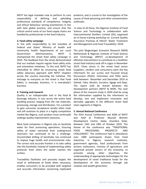NIFST has legal mandate now to perform its core responsibility of defining and upholding professional standards of competence, integrity and ethical behaviour among practitioners in line with best global practice; and ensure that the critical control areas of our food supply chains are handled by professionals in the food Industry.

#### **3. Food safety campaign**

In line with responsibility to the mandate of Federal and States' Ministry of health and community health Departments of our Local Government Administrations, NIFST is championed the street food safety campaign in 2019. The feedback from the street demonstrated that our markets require regular food safety visits and orientation initiatives. To this end, NIFST has intensified its effort by structuring street food safety advocacy approach with NIFST chapters across the country executing the initiative. The message to everyone on the street is that Food Safety is everyday business; it is everybody's business.

#### **4. Training and research**

Quality is an indispensable tool in the food & beverage industry. It cuts across the entire food handling process ranging from the raw materials, processing, storage and distribution. For a product to gain consumer acceptance amidst other rivals and still maintain its place in a highly competitive market like Nigeria, such product must continually undergo quality improvement measures.

Most food companies in Nigeria rely on borehole water for their processing operations. Ensuring safety of water extracted from underground reservoirs has continued to be a challenge. Uncontrolled drilling of boreholes has continued to impose huge health and environmental risks. The correct and accurate frontier is to take safety into the boreholes instead of implementing safety protocols from when the water reaches the surface.

Traceability facilitates and precisely targets the recall or withdrawal of foods when necessary; enables consumers to be provided with targeted and accurate information concerning implicated

products; and is crucial to the investigation of the causes of food poisoning and other contamination outbreaks.

In view of all these, the Nigerian Institute of Food Science and Technology in collaboration with Intercontinental Distillers Limited (IDL) organized an in-house training workshop on -Current Quality Assurance Practices & HACCP, Water Treatment and Management and Food Traceability I 2019.

The joint Wageningen Economic Research (WER) Netherlands & Nigerian Institute of Food Science and Technology (NIFST) co-development of effective interventions to contribute to a healthier street food industry took off in Lagos in November 2019. Chain actors in the street food sector (suppliers, vendors and consumers) were the key informants for our survey and Focused Group Discussions (FGDs). Interviews and FGDs were held between November and December 2019 at Oshodi, Yaba, Mushin, Surulere, Agege and Ikeja. The report shall be shared between the development partners (NIFST & WER). The next phase of the research study in 2020 shall be using the information supplied by the informants to develop, test and implement innovative and desirable upgrades in the different street food chain segments in Nigeria.

#### **5. Annual National Conference**

The 43rd Annual Conference and AGM of NIFST was held at Professor Akunyili Women Development Centre, Awka, Anambra State, between 14th and 18th of October 2019. The theme of the conference was "TRADITIONAL FOOD PROCESSING: PROSPECTS AND CHALLENGES". The conference had in attendance over 1000 participants drawn from Food industries in Nigeria; research institutes, government agencies, food professionals from tertiary institutions, ministry of agriculture, and organized private sectors of the economy; to promote among other objectives, the understanding of appropriate technologies for the development of novel traditional foods for the development of the economy through job creation and wealth generation.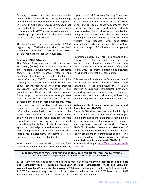One major observation of the conference was the lack of policy framework for science, technology and innovation for traditional food development. In view of this, the conference recommended that the Federal Government of Nigeria should collaborate with NIFST and other stakeholders to provide appropriate policies for the development of our traditional foods sector.

The 44th Annual Conference and AGM of NIFST tagged Lagos2020TheSummit shall be held sometime in October in Lagos mainland. More details shall be forwarded when available.

#### **Review of TAFST Activities**

The Taiwan Association for Food Science and Technology (TAFST) aims to promote members of the industrial, governmental, and academic sectors to jointly improve research and development in food science and technology. To reach this aim, TAFST convenes four joint meetings of directors and supervisors and one annual general meeting every year to promote professional connections. Moreover, TAFST organizes un-official expert communication forums to promote a conversation among experts from all walks of life and to assist the development of policy recommendations. Press conferences are held to allow food experts and researchers to accurately report the latest information in the field of food science to the media. TAFST actively contributes to the training of a new generation of food science professionals through organizing various innovative product competitions for students. It also helps them to apply the knowledge acquired at school toward new food processed technology and functional ingredients development. Furthermore, TAFST encourages the research and publication.

TAFST aimed to narrow the skill gap among food science graduates entering the workforce by organizing a Food Processing Teaching Experience Symposium in 2019. The representative lecturers at the symposium were invited to share current syllabi and curriculum content. Moreover, they had the opportunity to connect and interact with representatives from industries and academics, thus providing lecturers with ideas for curriculum planning. In addition, the food Q&A section on the website was updated with food-related informational articles, aiming to introduce accurate concepts of food safety to the general public.

Regarding globalization, TAFST also convened the "NAPA 2018 (International Conference on Nutrition and Physical Activity)" and the "International Conference of Food Safety and Health 2019" to promote interactions between TAFST and the international community.

This year we will celebrate the 50th anniversary of the Taiwan Association for Food Science and Technology (TAFST). In the future, the TAFST will continue encouraging technological innovation, supporting academic advancement, integrating the academic and industrial sectors, and assisting members to grow and thrive in the food industry.

#### **Webinar of the Regional Group for Central and South America (ALACCTA)**

The ALACCTA video webinar was held in April 2020 around COVID 19 Challenges and Strategies to aid in making scientific expertise available in all areas of food science, for governments, industry and populations around the world. Current ALACCTA President **Alejandra Medrano** of Uruguay and **Jairo Romero** of Colombia (IAFoST Fellow) are among the distinguished speakers. The webinar **Desafíos y estrategias para la cadena alimentaria ante la pandemia de COVID 19**

is available through http://alaccta.org/especialcovid-19/

*"Lead comprehensive or systematic reviews on topics such as functional foods, risk assessment; Set up plan of action per region, in line with IUFoST's vision and mission."*

IUFoST acknowledges and supports the scientific meetings of the **Malaysian Institute of Food Science and Technology (MIFT), Philippine Association of Food Technologists (PAFT) and Colombian Association of Food Science and Technology** in 2020 as per their requests. Adhering Bodies wishing for IUFoST Endorsement or sponsorship of its activities, should apply to the IUFoST Secretariat. IUFoST welcomes news of its members activities and also awards and achievements.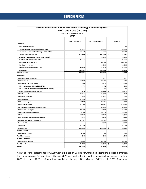# FINANCIAL REPORT

| The International Union of Food Science and Technology Incorporated (IUFoST) |    |                                 |                        |                  |  |  |
|------------------------------------------------------------------------------|----|---------------------------------|------------------------|------------------|--|--|
|                                                                              |    | <b>Profit and Loss (in CAD)</b> |                        |                  |  |  |
|                                                                              |    | January - December 2019         |                        |                  |  |  |
|                                                                              |    | <b>DRAFT</b>                    |                        |                  |  |  |
|                                                                              |    |                                 |                        |                  |  |  |
|                                                                              |    | Jan - Dec 2019                  | Jan - Dec 2018 (PP)    | Change           |  |  |
| <b>INCOME</b>                                                                |    |                                 |                        |                  |  |  |
| 8221 Membership fees                                                         |    |                                 |                        | 0.00             |  |  |
| Adhering Body Membership (USD in CAD)                                        |    | 80,724.10                       | 78,689.21              | 2,034.89         |  |  |
| Corporate Associate Membership (USD in CAD)                                  |    | 91,804.98                       | 61,574.10              | 30,230.88        |  |  |
| Total 8221 Membership fees                                                   | \$ | 172,529.08 \$                   | 140,263.31 \$          | 32,265.77        |  |  |
| Academy Fellows Dinner Income (USD in CAD)                                   |    |                                 | 6,580.07               | $-6,580.07$      |  |  |
| Conference Income (USD in CAD)                                               |    | 40,181.10                       |                        | 40,181.10        |  |  |
| Partnership Income (CAD)                                                     |    |                                 | 60,000.00              | $-60,000.00$     |  |  |
| Services (USD in CAD)                                                        |    |                                 | 26,688.63              | $-26,688.63$     |  |  |
| Sponsorship Income (USD in CAD)                                              |    | 60,576.01                       | 34,731.52              | 25,844.49        |  |  |
| <b>Total Income</b>                                                          | \$ | 273,286.19                      | \$<br>268,263.53       | 5,022.66<br>\$   |  |  |
| <b>GROSS PROFIT</b>                                                          | \$ | 273,286.19                      | 268,263.53 \$<br>\$    | 5,022.66         |  |  |
| <b>EXPENSES</b>                                                              |    |                                 |                        |                  |  |  |
| 8523 Meals and entertainment                                                 |    |                                 | 191.78                 | $-191.78$        |  |  |
| 8690 Insurance                                                               |    | 1,846.80                        | 2,029.47               | $-182.67$        |  |  |
| 8710 Interest and bank charges                                               |    | 280.62                          | 1,827.42               | $-1,546.80$      |  |  |
| 8715 Bank charges (CIBC USD in CAD)                                          |    | 847.19                          | 1,845.20               | $-998.01$        |  |  |
| 8717 Collection and credit costs (Paypal USD in CAD)                         |    |                                 | 302.46                 | $-302.46$        |  |  |
| Total 8710 Interest and bank charges                                         | \$ | 1,127.81                        | 3,975.08<br>\$         | 2,847.27<br>-\$  |  |  |
| 8761 Memberships                                                             |    | 2,021.13                        | 2,132.84               | $-111.71$        |  |  |
| 8810 Office expenses                                                         |    | 2,152.27                        | 4,274.75               | $-2,122.48$      |  |  |
| 8861 Legal fees                                                              |    | 20,129.34                       | 54,948.27              | $-34,818.93$     |  |  |
| 8862 Accounting fees                                                         |    | 17,916.25                       | 29,662.50              | $-11,746.25$     |  |  |
| 8863 Consulting fees                                                         |    | 19,209.32                       | 30,619.78              | $-11,410.46$     |  |  |
| 8871 Management and administration fees                                      |    |                                 | 22,655.02              | $-22,655.02$     |  |  |
| 9060 Salaries and wages                                                      |    | 30,900.89                       | 17,318.08              | 13,582.81        |  |  |
| 9150 Computer-related expenses                                               |    | 1,083.36                        | 3,682.68               | $-2,599.32$      |  |  |
| 9200 Travel expenses                                                         |    | 10,726.57                       | 3,728.53               | 6,998.04         |  |  |
| 9225 Telephone and telecommunications                                        |    | 414.47                          | 984.08                 | $-569.61$        |  |  |
| Academy Certificates, Pins, Awards                                           |    | 6,755.77                        | 2,385.14               | 4,370.63         |  |  |
| <b>Prizes Certificates</b>                                                   |    |                                 | 1,960.05               | $-1,960.05$      |  |  |
| <b>Secretarial</b>                                                           |    | 35,308.96                       |                        | 35,308.96        |  |  |
| <b>Total Expenses</b>                                                        | \$ | 149,592.94                      | \$<br>$180,548.05 - $$ | 30,955.11        |  |  |
| <b>OTHER INCOME</b>                                                          |    |                                 |                        |                  |  |  |
| 8100 Interest income                                                         |    | 458.48                          | 158.83                 | 299.65           |  |  |
| <b>Total Other Income</b>                                                    | \$ | 458.48 \$                       | 158.83 \$              | 299.65           |  |  |
| <b>OTHER EXPENSES</b>                                                        |    |                                 |                        |                  |  |  |
| <b>Exchange Gain or Loss</b>                                                 |    | 7,425.48                        | 48,089.30              | 40,663.82        |  |  |
| <b>Total Other Expenses</b>                                                  | \$ | 7,425.48                        | 48,089.30<br>\$        | -\$<br>40,663.82 |  |  |
| <b>PROFIT</b>                                                                | \$ | 116,726.25 \$                   | 39,785.01 \$           | 76,941.24        |  |  |
|                                                                              |    |                                 |                        |                  |  |  |

All IUFoST final statements for 2019 with explanation will be forwarded to Members in documentation for the upcoming General Assembly and 2020 Account activities will be provided for January to June 2020 in July 2020. Information available through Dr. Mansel Griffiths, IUFoST Treasurer.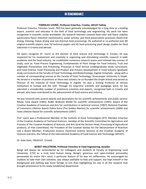# IN REMEMBRANCE

#### **TOMISLAV LOVRIĆ, Professor Emeritus, Croatia, IAFoST Fellow**

Professor Emeritus Tomislav Lovrić, PhD has been generally acknowledged for a long time as a leading expert, scientist and educator in the field of food technology and engineering. His work has been recognized in scientific circles worldwide. His research interests covered food color and flavor stability (particularly flavor retention mechanisms); water activity; and food preservation processes (foam-mat drying, freezing, freeze drying and non-thermal food processing). He authored or co-authored over 80 original scientific papers, over 50 technical papers and 45 food processing plant design studies for food industries in Croatia and abroad.

His peers recognize Dr. Lovrić as the pioneer of food science and technology in Croatia. He was respected for his involvement and creativity in organizing and stimulating scientific research in both academia and the food industry. He established numerous research teams and initiated key courses of study, such as: Food Process Engineering, Fundamentals of Plant Design for Food Industry, Fruit and Vegetable Preservation and Processing, Processes in Food Service (undergraduate study curriculum), and Food Science, Food Processing and Product and Process Development in Food Industry (graduate study curriculum) at the Faculty of Food Technology and Biotechnology, Zagreb University - along with a number of corresponding courses at the Faculty of Food Technology, Strossmayer University in Osijek. He served in a number of positions at these two schools; he co-founded the Osijek School and served as Director of the Institute of Food Technology in Zagreb. He was a Visiting Professor at various institutions in Europe and the USA. Through his long-time scientific and pedagogic work, he has educated a considerable number of prominent scientists and experts, recognized both in Croatia and abroad, who have contributed to the advancement of food science and industry.

He was honored with several awards and decorations for his scientific achievements and public service: Nikola Tesla Award (1982); Ruđer Bošković Medal for scientific achievements (1995); Award of the Croatian Academy of Sciences and Arts for contributions in technical science (1997); National Chamber of Commerce Lifetime Award Zlatna Kuna (The Golden Marten) for scientific achievements (2006) and State Lifetime Award for scientific achievements (2007).

Prof. Lovrić was a Professional Member of the Institute of Food Technologists (IFT), Member Emeritus of the Croatian Academy of Technical Sciences, member of the Scientific Committee for Agriculture and Forestry of the Croatian Academy of Sciences and Arts (and the Section Head, Processing of Agricultural products, of that Committee); the President of the Croatian Society for the Advancement of Nutrition and a Board Member, Production Science (Technical Science Section) of the Croatian Academy of Sciences and Arts, the Fellow of the International Academy of Food Science and Technology (IAFoST).

#### *Dr. Kata Galic, CRoSFoST, Croatia*

#### **BENGT HALLSTROM, Professor Emeritus in Food Engineering, Sweden**

Bengt will always be remembered by his colleagues and students at Faculty of Engineering Lund Univeristy, (LTH) as a truly kind human being. Bengt's generous and open-minded personality permeated his entire life's work, a particular feature of his was his selflessness. He encouraged his students to take their own initiative, was always available to help and support, but kept himself in the background and nothing was more foreign to him than highlighting his role in all the research that brought prominence to his newly established department.